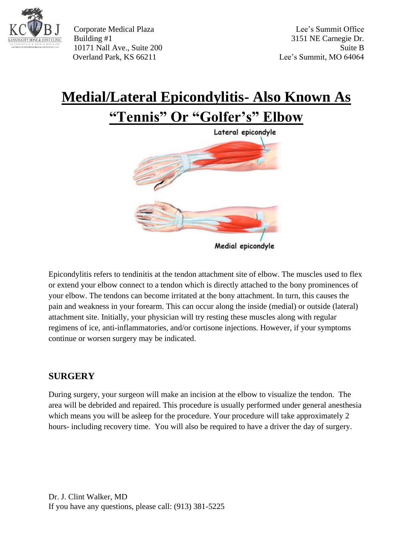

Corporate Medical Plaza Lee's Summit Office Building #1 3151 NE Carnegie Dr. 10171 Nall Ave., Suite 200 Suite B Overland Park, KS 66211 Lee's Summit, MO 64064

## **Medial/Lateral Epicondylitis- Also Known As "Tennis" Or "Golfer's" Elbow**



Epicondylitis refers to tendinitis at the tendon attachment site of elbow. The muscles used to flex or extend your elbow connect to a tendon which is directly attached to the bony prominences of your elbow. The tendons can become irritated at the bony attachment. In turn, this causes the pain and weakness in your forearm. This can occur along the inside (medial) or outside (lateral) attachment site. Initially, your physician will try resting these muscles along with regular regimens of ice, anti-inflammatories, and/or cortisone injections. However, if your symptoms continue or worsen surgery may be indicated.

## **SURGERY**

During surgery, your surgeon will make an incision at the elbow to visualize the tendon. The area will be debrided and repaired. This procedure is usually performed under general anesthesia which means you will be asleep for the procedure. Your procedure will take approximately 2 hours- including recovery time. You will also be required to have a driver the day of surgery.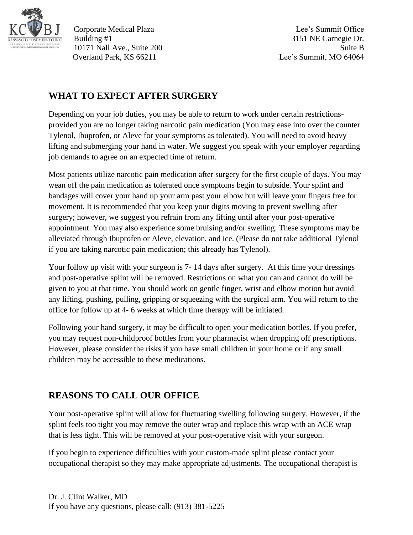

Corporate Medical Plaza Lee's Summit Office Building #1 3151 NE Carnegie Dr. 10171 Nall Ave., Suite 200 Suite B Overland Park, KS 66211 Lee's Summit, MO 64064

## **WHAT TO EXPECT AFTER SURGERY**

Depending on your job duties, you may be able to return to work under certain restrictionsprovided you are no longer taking narcotic pain medication (You may ease into over the counter Tylenol, Ibuprofen, or Aleve for your symptoms as tolerated). You will need to avoid heavy lifting and submerging your hand in water. We suggest you speak with your employer regarding job demands to agree on an expected time of return.

Most patients utilize narcotic pain medication after surgery for the first couple of days. You may wean off the pain medication as tolerated once symptoms begin to subside. Your splint and bandages will cover your hand up your arm past your elbow but will leave your fingers free for movement. It is recommended that you keep your digits moving to prevent swelling after surgery; however, we suggest you refrain from any lifting until after your post-operative appointment. You may also experience some bruising and/or swelling. These symptoms may be alleviated through Ibuprofen or Aleve, elevation, and ice. (Please do not take additional Tylenol if you are taking narcotic pain medication; this already has Tylenol).

Your follow up visit with your surgeon is 7- 14 days after surgery. At this time your dressings and post-operative splint will be removed. Restrictions on what you can and cannot do will be given to you at that time. You should work on gentle finger, wrist and elbow motion but avoid any lifting, pushing, pulling, gripping or squeezing with the surgical arm. You will return to the office for follow up at 4- 6 weeks at which time therapy will be initiated.

Following your hand surgery, it may be difficult to open your medication bottles. If you prefer, you may request non-childproof bottles from your pharmacist when dropping off prescriptions. However, please consider the risks if you have small children in your home or if any small children may be accessible to these medications.

## **REASONS TO CALL OUR OFFICE**

Your post-operative splint will allow for fluctuating swelling following surgery. However, if the splint feels too tight you may remove the outer wrap and replace this wrap with an ACE wrap that is less tight. This will be removed at your post-operative visit with your surgeon.

If you begin to experience difficulties with your custom-made splint please contact your occupational therapist so they may make appropriate adjustments. The occupational therapist is